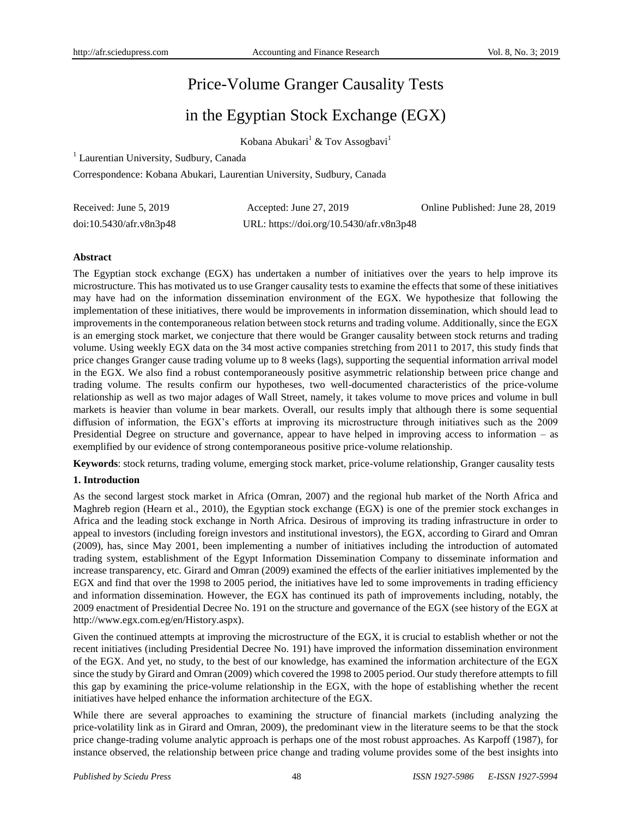# Price-Volume Granger Causality Tests

# in the Egyptian Stock Exchange (EGX)

Kobana Abukari<sup>1</sup> & Tov Assogbavi<sup>1</sup>

<sup>1</sup> Laurentian University, Sudbury, Canada

Correspondence: Kobana Abukari, Laurentian University, Sudbury, Canada

| Received: June 5, 2019  | Accepted: June 27, 2019                  | Online Published: June 28, 2019 |
|-------------------------|------------------------------------------|---------------------------------|
| doi:10.5430/afr.v8n3p48 | URL: https://doi.org/10.5430/afr.v8n3p48 |                                 |

## **Abstract**

The Egyptian stock exchange (EGX) has undertaken a number of initiatives over the years to help improve its microstructure. This has motivated us to use Granger causality tests to examine the effects that some of these initiatives may have had on the information dissemination environment of the EGX. We hypothesize that following the implementation of these initiatives, there would be improvements in information dissemination, which should lead to improvements in the contemporaneous relation between stock returns and trading volume. Additionally, since the EGX is an emerging stock market, we conjecture that there would be Granger causality between stock returns and trading volume. Using weekly EGX data on the 34 most active companies stretching from 2011 to 2017, this study finds that price changes Granger cause trading volume up to 8 weeks (lags), supporting the sequential information arrival model in the EGX. We also find a robust contemporaneously positive asymmetric relationship between price change and trading volume. The results confirm our hypotheses, two well-documented characteristics of the price-volume relationship as well as two major adages of Wall Street, namely, it takes volume to move prices and volume in bull markets is heavier than volume in bear markets. Overall, our results imply that although there is some sequential diffusion of information, the EGX's efforts at improving its microstructure through initiatives such as the 2009 Presidential Degree on structure and governance, appear to have helped in improving access to information – as exemplified by our evidence of strong contemporaneous positive price-volume relationship.

**Keywords**: stock returns, trading volume, emerging stock market, price-volume relationship, Granger causality tests

# **1. Introduction**

As the second largest stock market in Africa (Omran, 2007) and the regional hub market of the North Africa and Maghreb region (Hearn et al., 2010), the Egyptian stock exchange (EGX) is one of the premier stock exchanges in Africa and the leading stock exchange in North Africa. Desirous of improving its trading infrastructure in order to appeal to investors (including foreign investors and institutional investors), the EGX, according to Girard and Omran (2009), has, since May 2001, been implementing a number of initiatives including the introduction of automated trading system, establishment of the Egypt Information Dissemination Company to disseminate information and increase transparency, etc. Girard and Omran (2009) examined the effects of the earlier initiatives implemented by the EGX and find that over the 1998 to 2005 period, the initiatives have led to some improvements in trading efficiency and information dissemination. However, the EGX has continued its path of improvements including, notably, the 2009 enactment of Presidential Decree No. 191 on the structure and governance of the EGX (see history of the EGX at http://www.egx.com.eg/en/History.aspx).

Given the continued attempts at improving the microstructure of the EGX, it is crucial to establish whether or not the recent initiatives (including Presidential Decree No. 191) have improved the information dissemination environment of the EGX. And yet, no study, to the best of our knowledge, has examined the information architecture of the EGX since the study by Girard and Omran (2009) which covered the 1998 to 2005 period. Our study therefore attempts to fill this gap by examining the price-volume relationship in the EGX, with the hope of establishing whether the recent initiatives have helped enhance the information architecture of the EGX.

While there are several approaches to examining the structure of financial markets (including analyzing the price-volatility link as in Girard and Omran, 2009), the predominant view in the literature seems to be that the stock price change-trading volume analytic approach is perhaps one of the most robust approaches. As Karpoff (1987), for instance observed, the relationship between price change and trading volume provides some of the best insights into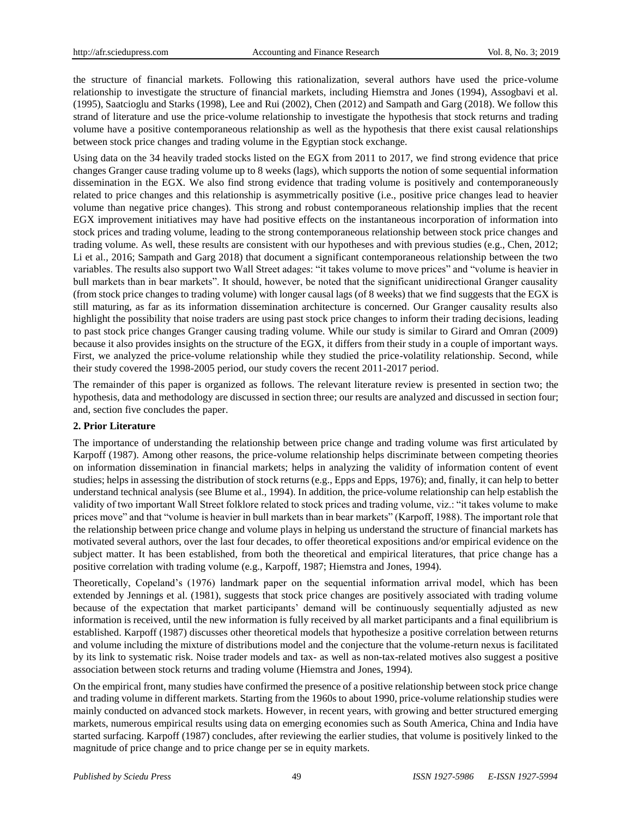the structure of financial markets. Following this rationalization, several authors have used the price-volume relationship to investigate the structure of financial markets, including Hiemstra and Jones (1994), Assogbavi et al. (1995), Saatcioglu and Starks (1998), Lee and Rui (2002), Chen (2012) and Sampath and Garg (2018). We follow this strand of literature and use the price-volume relationship to investigate the hypothesis that stock returns and trading volume have a positive contemporaneous relationship as well as the hypothesis that there exist causal relationships between stock price changes and trading volume in the Egyptian stock exchange.

Using data on the 34 heavily traded stocks listed on the EGX from 2011 to 2017, we find strong evidence that price changes Granger cause trading volume up to 8 weeks (lags), which supports the notion of some sequential information dissemination in the EGX*.* We also find strong evidence that trading volume is positively and contemporaneously related to price changes and this relationship is asymmetrically positive (i.e., positive price changes lead to heavier volume than negative price changes). This strong and robust contemporaneous relationship implies that the recent EGX improvement initiatives may have had positive effects on the instantaneous incorporation of information into stock prices and trading volume, leading to the strong contemporaneous relationship between stock price changes and trading volume. As well, these results are consistent with our hypotheses and with previous studies (e.g., Chen, 2012; Li et al., 2016; Sampath and Garg 2018) that document a significant contemporaneous relationship between the two variables. The results also support two Wall Street adages: "it takes volume to move prices" and "volume is heavier in bull markets than in bear markets". It should, however, be noted that the significant unidirectional Granger causality (from stock price changes to trading volume) with longer causal lags (of 8 weeks) that we find suggests that the EGX is still maturing, as far as its information dissemination architecture is concerned. Our Granger causality results also highlight the possibility that noise traders are using past stock price changes to inform their trading decisions, leading to past stock price changes Granger causing trading volume. While our study is similar to Girard and Omran (2009) because it also provides insights on the structure of the EGX, it differs from their study in a couple of important ways. First, we analyzed the price-volume relationship while they studied the price-volatility relationship. Second, while their study covered the 1998-2005 period, our study covers the recent 2011-2017 period.

The remainder of this paper is organized as follows. The relevant literature review is presented in section two; the hypothesis, data and methodology are discussed in section three; our results are analyzed and discussed in section four; and, section five concludes the paper.

## **2. Prior Literature**

The importance of understanding the relationship between price change and trading volume was first articulated by Karpoff (1987). Among other reasons, the price-volume relationship helps discriminate between competing theories on information dissemination in financial markets; helps in analyzing the validity of information content of event studies; helps in assessing the distribution of stock returns (e.g., Epps and Epps, 1976); and, finally, it can help to better understand technical analysis (see Blume et al., 1994). In addition, the price-volume relationship can help establish the validity of two important Wall Street folklore related to stock prices and trading volume, viz.: "it takes volume to make prices move" and that "volume is heavier in bull markets than in bear markets" (Karpoff, 1988). The important role that the relationship between price change and volume plays in helping us understand the structure of financial markets has motivated several authors, over the last four decades, to offer theoretical expositions and/or empirical evidence on the subject matter. It has been established, from both the theoretical and empirical literatures, that price change has a positive correlation with trading volume (e.g., Karpoff, 1987; Hiemstra and Jones, 1994).

Theoretically, Copeland's (1976) landmark paper on the sequential information arrival model, which has been extended by Jennings et al. (1981), suggests that stock price changes are positively associated with trading volume because of the expectation that market participants' demand will be continuously sequentially adjusted as new information is received, until the new information is fully received by all market participants and a final equilibrium is established. Karpoff (1987) discusses other theoretical models that hypothesize a positive correlation between returns and volume including the mixture of distributions model and the conjecture that the volume-return nexus is facilitated by its link to systematic risk. Noise trader models and tax- as well as non-tax-related motives also suggest a positive association between stock returns and trading volume (Hiemstra and Jones, 1994).

On the empirical front, many studies have confirmed the presence of a positive relationship between stock price change and trading volume in different markets. Starting from the 1960s to about 1990, price-volume relationship studies were mainly conducted on advanced stock markets. However, in recent years, with growing and better structured emerging markets, numerous empirical results using data on emerging economies such as South America, China and India have started surfacing. Karpoff (1987) concludes, after reviewing the earlier studies, that volume is positively linked to the magnitude of price change and to price change per se in equity markets.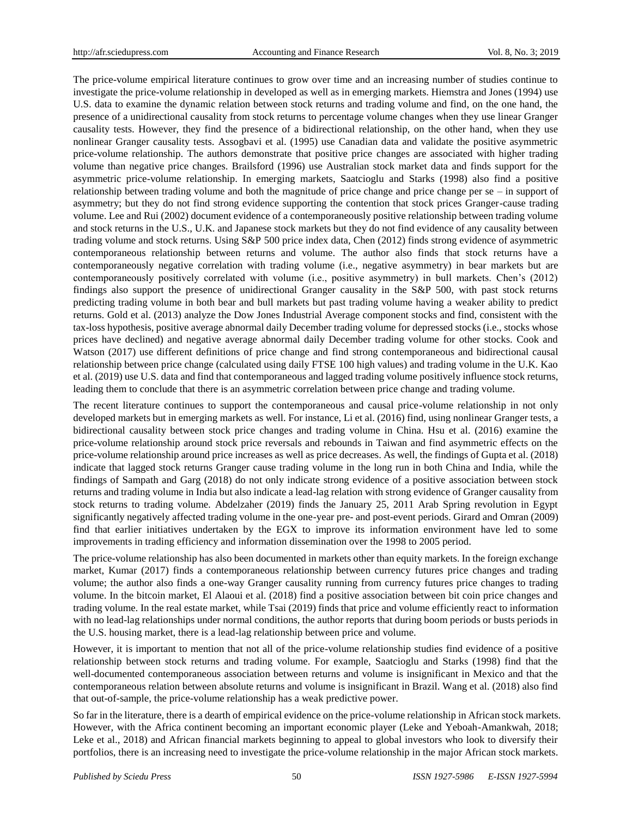The price-volume empirical literature continues to grow over time and an increasing number of studies continue to investigate the price-volume relationship in developed as well as in emerging markets. Hiemstra and Jones (1994) use U.S. data to examine the dynamic relation between stock returns and trading volume and find, on the one hand, the presence of a unidirectional causality from stock returns to percentage volume changes when they use linear Granger causality tests. However, they find the presence of a bidirectional relationship, on the other hand, when they use nonlinear Granger causality tests. Assogbavi et al. (1995) use Canadian data and validate the positive asymmetric price-volume relationship. The authors demonstrate that positive price changes are associated with higher trading volume than negative price changes. Brailsford (1996) use Australian stock market data and finds support for the asymmetric price-volume relationship. In emerging markets, Saatcioglu and Starks (1998) also find a positive relationship between trading volume and both the magnitude of price change and price change per se – in support of asymmetry; but they do not find strong evidence supporting the contention that stock prices Granger-cause trading volume. Lee and Rui (2002) document evidence of a contemporaneously positive relationship between trading volume and stock returns in the U.S., U.K. and Japanese stock markets but they do not find evidence of any causality between trading volume and stock returns. Using S&P 500 price index data, Chen (2012) finds strong evidence of asymmetric contemporaneous relationship between returns and volume. The author also finds that stock returns have a contemporaneously negative correlation with trading volume (i.e., negative asymmetry) in bear markets but are contemporaneously positively correlated with volume (i.e., positive asymmetry) in bull markets. Chen's (2012) findings also support the presence of unidirectional Granger causality in the S&P 500, with past stock returns predicting trading volume in both bear and bull markets but past trading volume having a weaker ability to predict returns. Gold et al. (2013) analyze the Dow Jones Industrial Average component stocks and find, consistent with the tax-loss hypothesis, positive average abnormal daily December trading volume for depressed stocks (i.e., stocks whose prices have declined) and negative average abnormal daily December trading volume for other stocks. Cook and Watson (2017) use different definitions of price change and find strong contemporaneous and bidirectional causal relationship between price change (calculated using daily FTSE 100 high values) and trading volume in the U.K. Kao et al. (2019) use U.S. data and find that contemporaneous and lagged trading volume positively influence stock returns, leading them to conclude that there is an asymmetric correlation between price change and trading volume.

The recent literature continues to support the contemporaneous and causal price-volume relationship in not only developed markets but in emerging markets as well. For instance, Li et al. (2016) find, using nonlinear Granger tests, a bidirectional causality between stock price changes and trading volume in China. Hsu et al. (2016) examine the price-volume relationship around stock price reversals and rebounds in Taiwan and find asymmetric effects on the price-volume relationship around price increases as well as price decreases. As well, the findings of Gupta et al. (2018) indicate that lagged stock returns Granger cause trading volume in the long run in both China and India, while the findings of Sampath and Garg (2018) do not only indicate strong evidence of a positive association between stock returns and trading volume in India but also indicate a lead-lag relation with strong evidence of Granger causality from stock returns to trading volume. Abdelzaher (2019) finds the January 25, 2011 Arab Spring revolution in Egypt significantly negatively affected trading volume in the one-year pre- and post-event periods. Girard and Omran (2009) find that earlier initiatives undertaken by the EGX to improve its information environment have led to some improvements in trading efficiency and information dissemination over the 1998 to 2005 period.

The price-volume relationship has also been documented in markets other than equity markets. In the foreign exchange market, Kumar (2017) finds a contemporaneous relationship between currency futures price changes and trading volume; the author also finds a one-way Granger causality running from currency futures price changes to trading volume. In the bitcoin market, El Alaoui et al. (2018) find a positive association between bit coin price changes and trading volume. In the real estate market, while Tsai (2019) finds that price and volume efficiently react to information with no lead-lag relationships under normal conditions, the author reports that during boom periods or busts periods in the U.S. housing market, there is a lead-lag relationship between price and volume.

However, it is important to mention that not all of the price-volume relationship studies find evidence of a positive relationship between stock returns and trading volume. For example, Saatcioglu and Starks (1998) find that the well-documented contemporaneous association between returns and volume is insignificant in Mexico and that the contemporaneous relation between absolute returns and volume is insignificant in Brazil. Wang et al. (2018) also find that out-of-sample, the price-volume relationship has a weak predictive power.

So far in the literature, there is a dearth of empirical evidence on the price-volume relationship in African stock markets. However, with the Africa continent becoming an important economic player (Leke and Yeboah-Amankwah, 2018; Leke et al., 2018) and African financial markets beginning to appeal to global investors who look to diversify their portfolios, there is an increasing need to investigate the price-volume relationship in the major African stock markets.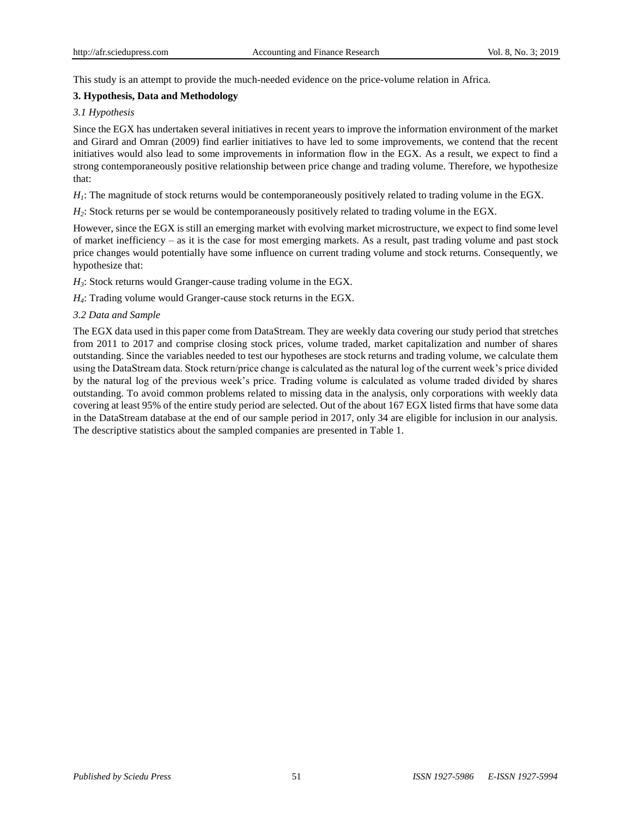This study is an attempt to provide the much-needed evidence on the price-volume relation in Africa.

## **3. Hypothesis, Data and Methodology**

## *3.1 Hypothesis*

Since the EGX has undertaken several initiatives in recent years to improve the information environment of the market and Girard and Omran (2009) find earlier initiatives to have led to some improvements, we contend that the recent initiatives would also lead to some improvements in information flow in the EGX. As a result, we expect to find a strong contemporaneously positive relationship between price change and trading volume. Therefore, we hypothesize that:

*H1*: The magnitude of stock returns would be contemporaneously positively related to trading volume in the EGX.

*H*<sub>2</sub>: Stock returns per se would be contemporaneously positively related to trading volume in the EGX.

However, since the EGX is still an emerging market with evolving market microstructure, we expect to find some level of market inefficiency – as it is the case for most emerging markets. As a result, past trading volume and past stock price changes would potentially have some influence on current trading volume and stock returns. Consequently, we hypothesize that:

*H3*: Stock returns would Granger-cause trading volume in the EGX.

*H*<sub>4</sub>: Trading volume would Granger-cause stock returns in the EGX.

## *3.2 Data and Sample*

The EGX data used in this paper come from DataStream. They are weekly data covering our study period that stretches from 2011 to 2017 and comprise closing stock prices, volume traded, market capitalization and number of shares outstanding. Since the variables needed to test our hypotheses are stock returns and trading volume, we calculate them using the DataStream data. Stock return/price change is calculated as the natural log of the current week's price divided by the natural log of the previous week's price. Trading volume is calculated as volume traded divided by shares outstanding. To avoid common problems related to missing data in the analysis, only corporations with weekly data covering at least 95% of the entire study period are selected. Out of the about 167 EGX listed firms that have some data in the DataStream database at the end of our sample period in 2017, only 34 are eligible for inclusion in our analysis. The descriptive statistics about the sampled companies are presented in Table 1.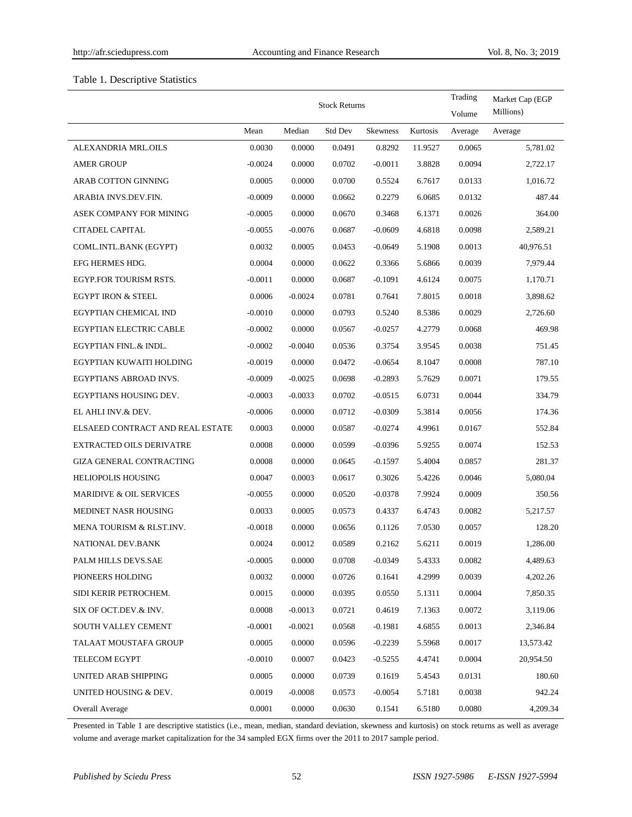## Table 1. Descriptive Statistics

|                                    |           | <b>Stock Returns</b> | Trading<br>Volume | Market Cap (EGP<br>Millions) |          |         |           |
|------------------------------------|-----------|----------------------|-------------------|------------------------------|----------|---------|-----------|
|                                    | Mean      | Median               | Std Dev           | <b>Skewness</b>              | Kurtosis | Average | Average   |
| ALEXANDRIA MRL.OILS                | 0.0030    | 0.0000               | 0.0491            | 0.8292                       | 11.9527  | 0.0065  | 5,781.02  |
| <b>AMER GROUP</b>                  | $-0.0024$ | 0.0000               | 0.0702            | $-0.0011$                    | 3.8828   | 0.0094  | 2,722.17  |
| ARAB COTTON GINNING                | 0.0005    | 0.0000               | 0.0700            | 0.5524                       | 6.7617   | 0.0133  | 1,016.72  |
| ARABIA INVS.DEV.FIN.               | $-0.0009$ | 0.0000               | 0.0662            | 0.2279                       | 6.0685   | 0.0132  | 487.44    |
| ASEK COMPANY FOR MINING            | $-0.0005$ | 0.0000               | 0.0670            | 0.3468                       | 6.1371   | 0.0026  | 364.00    |
| CITADEL CAPITAL                    | $-0.0055$ | $-0.0076$            | 0.0687            | $-0.0609$                    | 4.6818   | 0.0098  | 2,589.21  |
| COML.INTL.BANK (EGYPT)             | 0.0032    | 0.0005               | 0.0453            | $-0.0649$                    | 5.1908   | 0.0013  | 40,976.51 |
| EFG HERMES HDG.                    | 0.0004    | 0.0000               | 0.0622            | 0.3366                       | 5.6866   | 0.0039  | 7,979.44  |
| EGYP.FOR TOURISM RSTS.             | $-0.0011$ | 0.0000               | 0.0687            | $-0.1091$                    | 4.6124   | 0.0075  | 1,170.71  |
| <b>EGYPT IRON &amp; STEEL</b>      | 0.0006    | $-0.0024$            | 0.0781            | 0.7641                       | 7.8015   | 0.0018  | 3,898.62  |
| EGYPTIAN CHEMICAL IND              | $-0.0010$ | 0.0000               | 0.0793            | 0.5240                       | 8.5386   | 0.0029  | 2,726.60  |
| <b>EGYPTIAN ELECTRIC CABLE</b>     | $-0.0002$ | 0.0000               | 0.0567            | $-0.0257$                    | 4.2779   | 0.0068  | 469.98    |
| EGYPTIAN FINL.& INDL.              | $-0.0002$ | $-0.0040$            | 0.0536            | 0.3754                       | 3.9545   | 0.0038  | 751.45    |
| EGYPTIAN KUWAITI HOLDING           | $-0.0019$ | 0.0000               | 0.0472            | $-0.0654$                    | 8.1047   | 0.0008  | 787.10    |
| EGYPTIANS ABROAD INVS.             | $-0.0009$ | $-0.0025$            | 0.0698            | $-0.2893$                    | 5.7629   | 0.0071  | 179.55    |
| EGYPTIANS HOUSING DEV.             | $-0.0003$ | $-0.0033$            | 0.0702            | $-0.0515$                    | 6.0731   | 0.0044  | 334.79    |
| EL AHLI INV.& DEV.                 | $-0.0006$ | 0.0000               | 0.0712            | $-0.0309$                    | 5.3814   | 0.0056  | 174.36    |
| ELSAEED CONTRACT AND REAL ESTATE   | 0.0003    | 0.0000               | 0.0587            | $-0.0274$                    | 4.9961   | 0.0167  | 552.84    |
| <b>EXTRACTED OILS DERIVATRE</b>    | 0.0008    | 0.0000               | 0.0599            | $-0.0396$                    | 5.9255   | 0.0074  | 152.53    |
| <b>GIZA GENERAL CONTRACTING</b>    | 0.0008    | 0.0000               | 0.0645            | $-0.1597$                    | 5.4004   | 0.0857  | 281.37    |
| <b>HELIOPOLIS HOUSING</b>          | 0.0047    | 0.0003               | 0.0617            | 0.3026                       | 5.4226   | 0.0046  | 5,080.04  |
| <b>MARIDIVE &amp; OIL SERVICES</b> | $-0.0055$ | 0.0000               | 0.0520            | $-0.0378$                    | 7.9924   | 0.0009  | 350.56    |
| MEDINET NASR HOUSING               | 0.0033    | 0.0005               | 0.0573            | 0.4337                       | 6.4743   | 0.0082  | 5,217.57  |
| MENA TOURISM & RLST.INV.           | $-0.0018$ | 0.0000               | 0.0656            | 0.1126                       | 7.0530   | 0.0057  | 128.20    |
| NATIONAL DEV.BANK                  | 0.0024    | 0.0012               | 0.0589            | 0.2162                       | 5.6211   | 0.0019  | 1,286.00  |
| PALM HILLS DEVS.SAE                | $-0.0005$ | 0.0000               | 0.0708            | $-0.0349$                    | 5.4333   | 0.0082  | 4,489.63  |
| PIONEERS HOLDING                   | 0.0032    | 0.0000               | 0.0726            | 0.1641                       | 4.2999   | 0.0039  | 4,202.26  |
| SIDI KERIR PETROCHEM.              | 0.0015    | 0.0000               | 0.0395            | 0.0550                       | 5.1311   | 0.0004  | 7,850.35  |
| SIX OF OCT.DEV.& INV.              | 0.0008    | $-0.0013$            | 0.0721            | 0.4619                       | 7.1363   | 0.0072  | 3,119.06  |
| SOUTH VALLEY CEMENT                | $-0.0001$ | $-0.0021$            | 0.0568            | $-0.1981$                    | 4.6855   | 0.0013  | 2,346.84  |
| TALAAT MOUSTAFA GROUP              | 0.0005    | 0.0000               | 0.0596            | $-0.2239$                    | 5.5968   | 0.0017  | 13,573.42 |
| TELECOM EGYPT                      | $-0.0010$ | 0.0007               | 0.0423            | $-0.5255$                    | 4.4741   | 0.0004  | 20,954.50 |
| UNITED ARAB SHIPPING               | 0.0005    | 0.0000               | 0.0739            | 0.1619                       | 5.4543   | 0.0131  | 180.60    |
| UNITED HOUSING & DEV.              | 0.0019    | $-0.0008$            | 0.0573            | $-0.0054$                    | 5.7181   | 0.0038  | 942.24    |
| Overall Average                    | 0.0001    | 0.0000               | 0.0630            | 0.1541                       | 6.5180   | 0.0080  | 4,209.34  |

Presented in Table 1 are descriptive statistics (i.e., mean, median, standard deviation, skewness and kurtosis) on stock returns as well as average volume and average market capitalization for the 34 sampled EGX firms over the 2011 to 2017 sample period.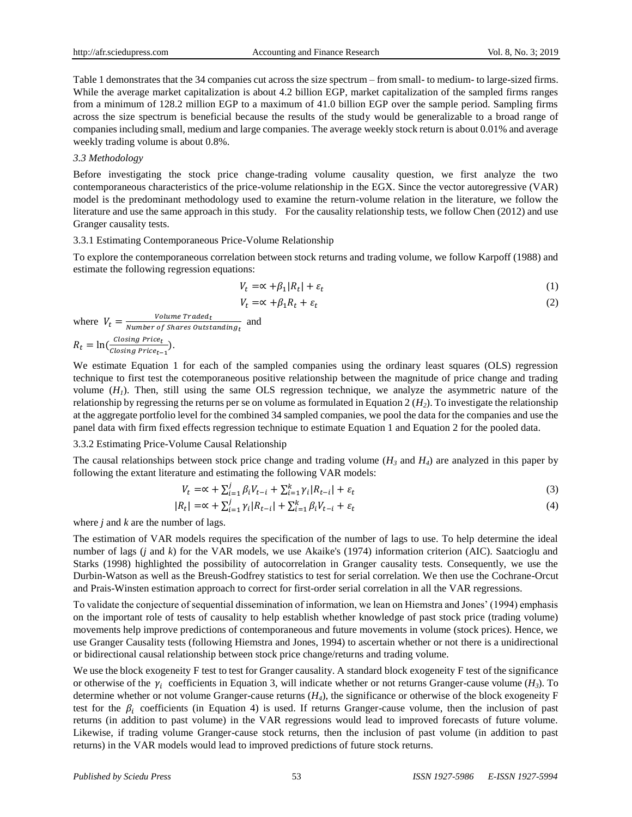Table 1 demonstrates that the 34 companies cut across the size spectrum – from small- to medium- to large-sized firms. While the average market capitalization is about 4.2 billion EGP, market capitalization of the sampled firms ranges from a minimum of 128.2 million EGP to a maximum of 41.0 billion EGP over the sample period. Sampling firms across the size spectrum is beneficial because the results of the study would be generalizable to a broad range of companies including small, medium and large companies. The average weekly stock return is about 0.01% and average weekly trading volume is about 0.8%.

#### *3.3 Methodology*

Before investigating the stock price change-trading volume causality question, we first analyze the two contemporaneous characteristics of the price-volume relationship in the EGX. Since the vector autoregressive (VAR) model is the predominant methodology used to examine the return-volume relation in the literature, we follow the literature and use the same approach in this study. For the causality relationship tests, we follow Chen (2012) and use Granger causality tests.

#### 3.3.1 Estimating Contemporaneous Price-Volume Relationship

To explore the contemporaneous correlation between stock returns and trading volume, we follow Karpoff (1988) and estimate the following regression equations:

$$
V_t = \alpha + \beta_1 |R_t| + \varepsilon_t \tag{1}
$$

$$
V_t = \alpha + \beta_1 R_t + \varepsilon_t \tag{2}
$$

where  $V_t = \frac{Volume\,Trade_d}{Number\,of\,Shares\,Outst}$  $\frac{V}{Number\ of\ Shares\ Outstanding_t}$  and  $R_t = \ln(\frac{Closing Price_t}{Closing Price_t})$  $\frac{1}{\text{Closing Price}_{t-1}}$ .

We estimate Equation 1 for each of the sampled companies using the ordinary least squares (OLS) regression technique to first test the cotemporaneous positive relationship between the magnitude of price change and trading volume  $(H_1)$ . Then, still using the same OLS regression technique, we analyze the asymmetric nature of the relationship by regressing the returns per se on volume as formulated in Equation 2  $(H<sub>2</sub>)$ . To investigate the relationship at the aggregate portfolio level for the combined 34 sampled companies, we pool the data for the companies and use the panel data with firm fixed effects regression technique to estimate Equation 1 and Equation 2 for the pooled data.

#### 3.3.2 Estimating Price-Volume Causal Relationship

The causal relationships between stock price change and trading volume  $(H_3 \text{ and } H_4)$  are analyzed in this paper by following the extant literature and estimating the following VAR models:

$$
V_t = \alpha + \sum_{i=1}^j \beta_i V_{t-i} + \sum_{i=1}^k \gamma_i |R_{t-i}| + \varepsilon_t
$$
\n<sup>(3)</sup>

$$
|R_t| = \alpha + \sum_{i=1}^{j} \gamma_i |R_{t-i}| + \sum_{i=1}^{k} \beta_i V_{t-i} + \varepsilon_t
$$
\n(4)

where *j* and *k* are the number of lags.

The estimation of VAR models requires the specification of the number of lags to use. To help determine the ideal number of lags (*j* and *k*) for the VAR models, we use Akaike's (1974) information criterion (AIC). Saatcioglu and Starks (1998) highlighted the possibility of autocorrelation in Granger causality tests. Consequently, we use the Durbin-Watson as well as the Breush-Godfrey statistics to test for serial correlation. We then use the Cochrane-Orcut and Prais-Winsten estimation approach to correct for first-order serial correlation in all the VAR regressions.

To validate the conjecture of sequential dissemination of information, we lean on Hiemstra and Jones' (1994) emphasis on the important role of tests of causality to help establish whether knowledge of past stock price (trading volume) movements help improve predictions of contemporaneous and future movements in volume (stock prices). Hence, we use Granger Causality tests (following Hiemstra and Jones, 1994) to ascertain whether or not there is a unidirectional or bidirectional causal relationship between stock price change/returns and trading volume.

We use the block exogeneity F test to test for Granger causality. A standard block exogeneity F test of the significance or otherwise of the  $\gamma_i$  coefficients in Equation 3, will indicate whether or not returns Granger-cause volume ( $H_3$ ). To determine whether or not volume Granger-cause returns  $(H_4)$ , the significance or otherwise of the block exogeneity F test for the  $\beta_i$  coefficients (in Equation 4) is used. If returns Granger-cause volume, then the inclusion of past returns (in addition to past volume) in the VAR regressions would lead to improved forecasts of future volume. Likewise, if trading volume Granger-cause stock returns, then the inclusion of past volume (in addition to past returns) in the VAR models would lead to improved predictions of future stock returns.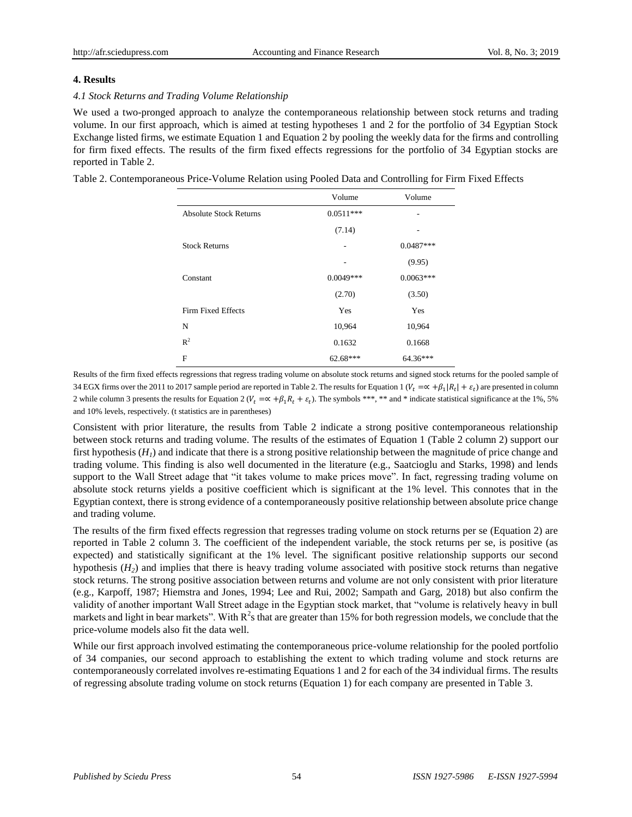#### **4. Results**

#### *4.1 Stock Returns and Trading Volume Relationship*

We used a two-pronged approach to analyze the contemporaneous relationship between stock returns and trading volume. In our first approach, which is aimed at testing hypotheses 1 and 2 for the portfolio of 34 Egyptian Stock Exchange listed firms, we estimate Equation 1 and Equation 2 by pooling the weekly data for the firms and controlling for firm fixed effects. The results of the firm fixed effects regressions for the portfolio of 34 Egyptian stocks are reported in Table 2.

Table 2. Contemporaneous Price-Volume Relation using Pooled Data and Controlling for Firm Fixed Effects

|                               | Volume      | Volume      |
|-------------------------------|-------------|-------------|
| <b>Absolute Stock Returns</b> | $0.0511***$ |             |
|                               | (7.14)      |             |
| <b>Stock Returns</b>          | ۰           | $0.0487***$ |
|                               | ۰           | (9.95)      |
| Constant                      | $0.0049***$ | $0.0063***$ |
|                               | (2.70)      | (3.50)      |
| Firm Fixed Effects            | Yes         | Yes         |
| N                             | 10,964      | 10,964      |
| $R^2$                         | 0.1632      | 0.1668      |
| F                             | 62.68***    | 64.36***    |

Results of the firm fixed effects regressions that regress trading volume on absolute stock returns and signed stock returns for the pooled sample of 34 EGX firms over the 2011 to 2017 sample period are reported in Table 2. The results for Equation 1 ( $V_t = \propto +\beta_1 |R_t| + \varepsilon_t$ ) are presented in column 2 while column 3 presents the results for Equation 2 ( $V_t = \propto +\beta_1 R_t + \varepsilon_t$ ). The symbols \*\*\*, \*\* and \* indicate statistical significance at the 1%, 5% and 10% levels, respectively. (t statistics are in parentheses)

Consistent with prior literature, the results from Table 2 indicate a strong positive contemporaneous relationship between stock returns and trading volume. The results of the estimates of Equation 1 (Table 2 column 2) support our first hypothesis  $(H<sub>l</sub>)$  and indicate that there is a strong positive relationship between the magnitude of price change and trading volume. This finding is also well documented in the literature (e.g., Saatcioglu and Starks, 1998) and lends support to the Wall Street adage that "it takes volume to make prices move". In fact, regressing trading volume on absolute stock returns yields a positive coefficient which is significant at the 1% level. This connotes that in the Egyptian context, there is strong evidence of a contemporaneously positive relationship between absolute price change and trading volume.

The results of the firm fixed effects regression that regresses trading volume on stock returns per se (Equation 2) are reported in Table 2 column 3. The coefficient of the independent variable, the stock returns per se, is positive (as expected) and statistically significant at the 1% level. The significant positive relationship supports our second hypothesis  $(H_2)$  and implies that there is heavy trading volume associated with positive stock returns than negative stock returns. The strong positive association between returns and volume are not only consistent with prior literature (e.g., Karpoff, 1987; Hiemstra and Jones, 1994; Lee and Rui, 2002; Sampath and Garg, 2018) but also confirm the validity of another important Wall Street adage in the Egyptian stock market, that "volume is relatively heavy in bull markets and light in bear markets". With  $R^2$ s that are greater than 15% for both regression models, we conclude that the price-volume models also fit the data well.

While our first approach involved estimating the contemporaneous price-volume relationship for the pooled portfolio of 34 companies, our second approach to establishing the extent to which trading volume and stock returns are contemporaneously correlated involves re-estimating Equations 1 and 2 for each of the 34 individual firms. The results of regressing absolute trading volume on stock returns (Equation 1) for each company are presented in Table 3.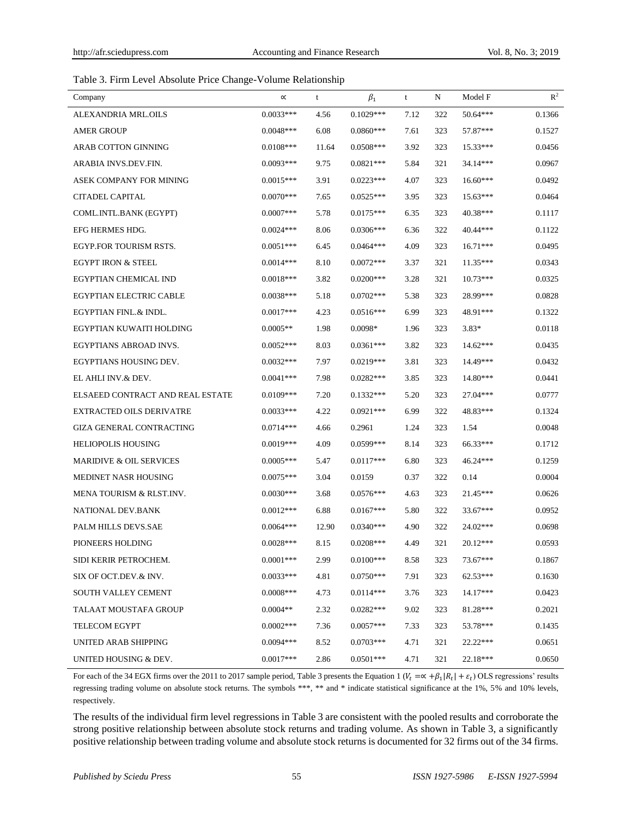## Table 3. Firm Level Absolute Price Change-Volume Relationship

| Company                            | $\propto$   | t     | $\beta_1$   | t    | N   | Model F    | $R^2$  |
|------------------------------------|-------------|-------|-------------|------|-----|------------|--------|
| ALEXANDRIA MRL.OILS                | $0.0033***$ | 4.56  | $0.1029***$ | 7.12 | 322 | 50.64***   | 0.1366 |
| <b>AMER GROUP</b>                  | $0.0048***$ | 6.08  | $0.0860***$ | 7.61 | 323 | 57.87***   | 0.1527 |
| <b>ARAB COTTON GINNING</b>         | $0.0108***$ | 11.64 | $0.0508***$ | 3.92 | 323 | $15.33***$ | 0.0456 |
| ARABIA INVS.DEV.FIN.               | $0.0093***$ | 9.75  | $0.0821***$ | 5.84 | 321 | 34.14***   | 0.0967 |
| ASEK COMPANY FOR MINING            | $0.0015***$ | 3.91  | $0.0223***$ | 4.07 | 323 | $16.60***$ | 0.0492 |
| CITADEL CAPITAL                    | $0.0070***$ | 7.65  | $0.0525***$ | 3.95 | 323 | $15.63***$ | 0.0464 |
| COML.INTL.BANK (EGYPT)             | $0.0007***$ | 5.78  | $0.0175***$ | 6.35 | 323 | 40.38***   | 0.1117 |
| EFG HERMES HDG.                    | $0.0024***$ | 8.06  | $0.0306***$ | 6.36 | 322 | 40.44***   | 0.1122 |
| EGYP.FOR TOURISM RSTS.             | $0.0051***$ | 6.45  | $0.0464***$ | 4.09 | 323 | $16.71***$ | 0.0495 |
| <b>EGYPT IRON &amp; STEEL</b>      | $0.0014***$ | 8.10  | $0.0072***$ | 3.37 | 321 | $11.35***$ | 0.0343 |
| EGYPTIAN CHEMICAL IND              | $0.0018***$ | 3.82  | $0.0200***$ | 3.28 | 321 | $10.73***$ | 0.0325 |
| <b>EGYPTIAN ELECTRIC CABLE</b>     | $0.0038***$ | 5.18  | $0.0702***$ | 5.38 | 323 | 28.99***   | 0.0828 |
| EGYPTIAN FINL.& INDL.              | $0.0017***$ | 4.23  | $0.0516***$ | 6.99 | 323 | 48.91***   | 0.1322 |
| EGYPTIAN KUWAITI HOLDING           | $0.0005**$  | 1.98  | $0.0098*$   | 1.96 | 323 | $3.83*$    | 0.0118 |
| EGYPTIANS ABROAD INVS.             | $0.0052***$ | 8.03  | $0.0361***$ | 3.82 | 323 | $14.62***$ | 0.0435 |
| EGYPTIANS HOUSING DEV.             | $0.0032***$ | 7.97  | $0.0219***$ | 3.81 | 323 | 14.49***   | 0.0432 |
| EL AHLI INV.& DEV.                 | $0.0041***$ | 7.98  | $0.0282***$ | 3.85 | 323 | 14.80***   | 0.0441 |
| ELSAEED CONTRACT AND REAL ESTATE   | $0.0109***$ | 7.20  | $0.1332***$ | 5.20 | 323 | $27.04***$ | 0.0777 |
| <b>EXTRACTED OILS DERIVATRE</b>    | $0.0033***$ | 4.22  | $0.0921***$ | 6.99 | 322 | 48.83***   | 0.1324 |
| <b>GIZA GENERAL CONTRACTING</b>    | $0.0714***$ | 4.66  | 0.2961      | 1.24 | 323 | 1.54       | 0.0048 |
| <b>HELIOPOLIS HOUSING</b>          | $0.0019***$ | 4.09  | 0.0599***   | 8.14 | 323 | 66.33***   | 0.1712 |
| <b>MARIDIVE &amp; OIL SERVICES</b> | $0.0005***$ | 5.47  | $0.0117***$ | 6.80 | 323 | 46.24***   | 0.1259 |
| MEDINET NASR HOUSING               | $0.0075***$ | 3.04  | 0.0159      | 0.37 | 322 | 0.14       | 0.0004 |
| MENA TOURISM & RLST.INV.           | $0.0030***$ | 3.68  | $0.0576***$ | 4.63 | 323 | $21.45***$ | 0.0626 |
| NATIONAL DEV.BANK                  | $0.0012***$ | 6.88  | $0.0167***$ | 5.80 | 322 | 33.67***   | 0.0952 |
| PALM HILLS DEVS.SAE                | $0.0064***$ | 12.90 | $0.0340***$ | 4.90 | 322 | 24.02***   | 0.0698 |
| PIONEERS HOLDING                   | $0.0028***$ | 8.15  | $0.0208***$ | 4.49 | 321 | 20.12***   | 0.0593 |
| SIDI KERIR PETROCHEM.              | $0.0001***$ | 2.99  | $0.0100***$ | 8.58 | 323 | 73.67***   | 0.1867 |
| SIX OF OCT.DEV.& INV.              | $0.0033***$ | 4.81  | $0.0750***$ | 7.91 | 323 | 62.53***   | 0.1630 |
| SOUTH VALLEY CEMENT                | $0.0008***$ | 4.73  | $0.0114***$ | 3.76 | 323 | 14.17***   | 0.0423 |
| TALAAT MOUSTAFA GROUP              | $0.0004**$  | 2.32  | $0.0282***$ | 9.02 | 323 | 81.28***   | 0.2021 |
| <b>TELECOM EGYPT</b>               | $0.0002***$ | 7.36  | $0.0057***$ | 7.33 | 323 | 53.78***   | 0.1435 |
| UNITED ARAB SHIPPING               | $0.0094***$ | 8.52  | $0.0703***$ | 4.71 | 321 | 22.22***   | 0.0651 |
| UNITED HOUSING & DEV.              | $0.0017***$ | 2.86  | $0.0501***$ | 4.71 | 321 | 22.18***   | 0.0650 |

For each of the 34 EGX firms over the 2011 to 2017 sample period, Table 3 presents the Equation 1 ( $V_t = \propto +\beta_1 |R_t| + \varepsilon_t$ ) OLS regressions' results regressing trading volume on absolute stock returns. The symbols \*\*\*, \*\* and \* indicate statistical significance at the 1%, 5% and 10% levels, respectively.

The results of the individual firm level regressions in Table 3 are consistent with the pooled results and corroborate the strong positive relationship between absolute stock returns and trading volume. As shown in Table 3, a significantly positive relationship between trading volume and absolute stock returns is documented for 32 firms out of the 34 firms.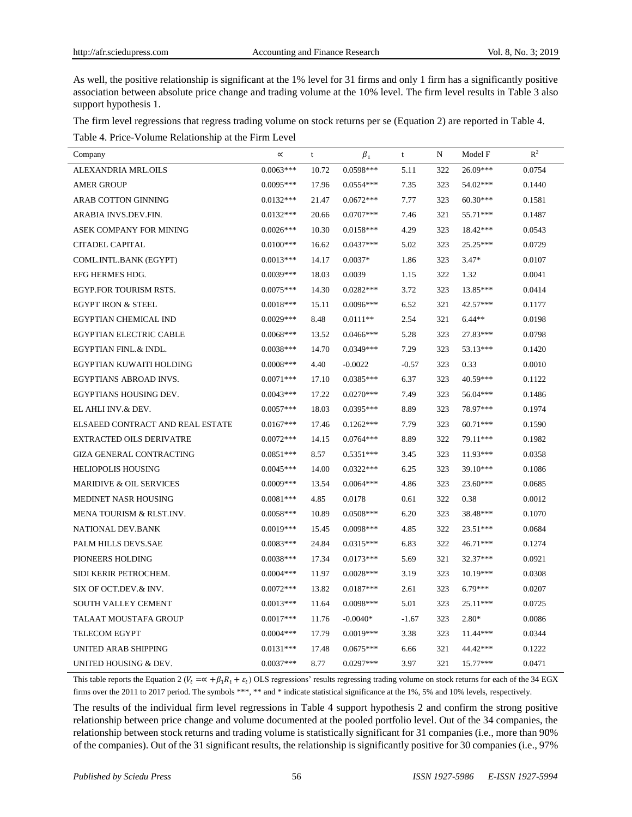As well, the positive relationship is significant at the 1% level for 31 firms and only 1 firm has a significantly positive association between absolute price change and trading volume at the 10% level. The firm level results in Table 3 also support hypothesis 1.

The firm level regressions that regress trading volume on stock returns per se (Equation 2) are reported in Table 4.

Table 4. Price-Volume Relationship at the Firm Level

| Company                            | $\propto$   | $\ensuremath{\mathbf{t}}$ | $\beta_1$   | $\mathbf t$ | N   | Model F    | $\mathbb{R}^2$ |
|------------------------------------|-------------|---------------------------|-------------|-------------|-----|------------|----------------|
| ALEXANDRIA MRL.OILS                | $0.0063***$ | 10.72                     | 0.0598***   | 5.11        | 322 | 26.09***   | 0.0754         |
| <b>AMER GROUP</b>                  | $0.0095***$ | 17.96                     | $0.0554***$ | 7.35        | 323 | 54.02***   | 0.1440         |
| <b>ARAB COTTON GINNING</b>         | $0.0132***$ | 21.47                     | $0.0672***$ | 7.77        | 323 | $60.30***$ | 0.1581         |
| ARABIA INVS.DEV.FIN.               | $0.0132***$ | 20.66                     | $0.0707***$ | 7.46        | 321 | 55.71***   | 0.1487         |
| ASEK COMPANY FOR MINING            | $0.0026***$ | 10.30                     | $0.0158***$ | 4.29        | 323 | 18.42***   | 0.0543         |
| <b>CITADEL CAPITAL</b>             | $0.0100***$ | 16.62                     | $0.0437***$ | 5.02        | 323 | $25.25***$ | 0.0729         |
| COML.INTL.BANK (EGYPT)             | $0.0013***$ | 14.17                     | $0.0037*$   | 1.86        | 323 | $3.47*$    | 0.0107         |
| EFG HERMES HDG.                    | $0.0039***$ | 18.03                     | 0.0039      | 1.15        | 322 | 1.32       | 0.0041         |
| EGYP.FOR TOURISM RSTS.             | $0.0075***$ | 14.30                     | $0.0282***$ | 3.72        | 323 | 13.85***   | 0.0414         |
| <b>EGYPT IRON &amp; STEEL</b>      | $0.0018***$ | 15.11                     | $0.0096***$ | 6.52        | 321 | 42.57***   | 0.1177         |
| EGYPTIAN CHEMICAL IND              | $0.0029***$ | 8.48                      | $0.0111**$  | 2.54        | 321 | $6.44**$   | 0.0198         |
| <b>EGYPTIAN ELECTRIC CABLE</b>     | $0.0068***$ | 13.52                     | $0.0466***$ | 5.28        | 323 | 27.83***   | 0.0798         |
| EGYPTIAN FINL.& INDL.              | $0.0038***$ | 14.70                     | $0.0349***$ | 7.29        | 323 | 53.13***   | 0.1420         |
| EGYPTIAN KUWAITI HOLDING           | $0.0008***$ | 4.40                      | $-0.0022$   | $-0.57$     | 323 | 0.33       | 0.0010         |
| EGYPTIANS ABROAD INVS.             | $0.0071***$ | 17.10                     | $0.0385***$ | 6.37        | 323 | 40.59***   | 0.1122         |
| EGYPTIANS HOUSING DEV.             | $0.0043***$ | 17.22                     | $0.0270***$ | 7.49        | 323 | 56.04***   | 0.1486         |
| EL AHLI INV.& DEV.                 | $0.0057***$ | 18.03                     | $0.0395***$ | 8.89        | 323 | 78.97***   | 0.1974         |
| ELSAEED CONTRACT AND REAL ESTATE   | $0.0167***$ | 17.46                     | $0.1262***$ | 7.79        | 323 | $60.71***$ | 0.1590         |
| <b>EXTRACTED OILS DERIVATRE</b>    | $0.0072***$ | 14.15                     | $0.0764***$ | 8.89        | 322 | 79.11***   | 0.1982         |
| <b>GIZA GENERAL CONTRACTING</b>    | $0.0851***$ | 8.57                      | $0.5351***$ | 3.45        | 323 | 11.93***   | 0.0358         |
| <b>HELIOPOLIS HOUSING</b>          | $0.0045***$ | 14.00                     | $0.0322***$ | 6.25        | 323 | 39.10***   | 0.1086         |
| <b>MARIDIVE &amp; OIL SERVICES</b> | $0.0009***$ | 13.54                     | $0.0064***$ | 4.86        | 323 | $23.60***$ | 0.0685         |
| MEDINET NASR HOUSING               | $0.0081***$ | 4.85                      | 0.0178      | 0.61        | 322 | 0.38       | 0.0012         |
| MENA TOURISM & RLST.INV.           | $0.0058***$ | 10.89                     | $0.0508***$ | 6.20        | 323 | 38.48***   | 0.1070         |
| NATIONAL DEV.BANK                  | $0.0019***$ | 15.45                     | $0.0098***$ | 4.85        | 322 | 23.51***   | 0.0684         |
| PALM HILLS DEVS.SAE                | $0.0083***$ | 24.84                     | $0.0315***$ | 6.83        | 322 | $46.71***$ | 0.1274         |
| PIONEERS HOLDING                   | $0.0038***$ | 17.34                     | $0.0173***$ | 5.69        | 321 | $32.37***$ | 0.0921         |
| SIDI KERIR PETROCHEM.              | $0.0004***$ | 11.97                     | $0.0028***$ | 3.19        | 323 | $10.19***$ | 0.0308         |
| SIX OF OCT.DEV.& INV.              | $0.0072***$ | 13.82                     | $0.0187***$ | 2.61        | 323 | $6.79***$  | 0.0207         |
| SOUTH VALLEY CEMENT                | $0.0013***$ | 11.64                     | $0.0098***$ | 5.01        | 323 | $25.11***$ | 0.0725         |
| TALAAT MOUSTAFA GROUP              | $0.0017***$ | 11.76                     | $-0.0040*$  | $-1.67$     | 323 | $2.80*$    | 0.0086         |
| <b>TELECOM EGYPT</b>               | $0.0004***$ | 17.79                     | $0.0019***$ | 3.38        | 323 | 11.44***   | 0.0344         |
| UNITED ARAB SHIPPING               | $0.0131***$ | 17.48                     | $0.0675***$ | 6.66        | 321 | 44.42***   | 0.1222         |
| UNITED HOUSING & DEV.              | $0.0037***$ | 8.77                      | $0.0297***$ | 3.97        | 321 | $15.77***$ | 0.0471         |

This table reports the Equation 2 ( $V_t = \alpha + \beta_1 R_t + \varepsilon_t$ ) OLS regressions' results regressing trading volume on stock returns for each of the 34 EGX firms over the 2011 to 2017 period. The symbols \*\*\*, \*\* and \* indicate statistical significance at the 1%, 5% and 10% levels, respectively.

The results of the individual firm level regressions in Table 4 support hypothesis 2 and confirm the strong positive relationship between price change and volume documented at the pooled portfolio level. Out of the 34 companies, the relationship between stock returns and trading volume is statistically significant for 31 companies (i.e., more than 90% of the companies). Out of the 31 significant results, the relationship is significantly positive for 30 companies (i.e., 97%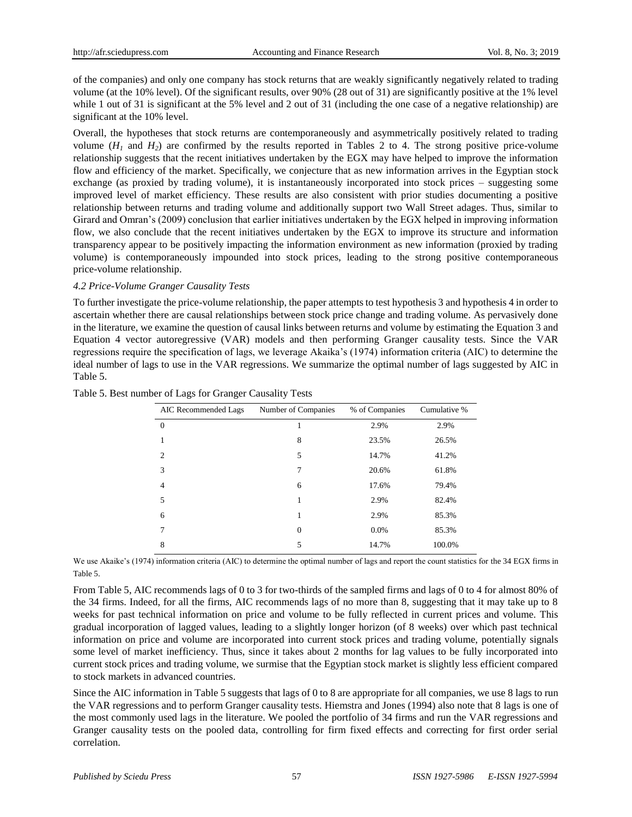of the companies) and only one company has stock returns that are weakly significantly negatively related to trading volume (at the 10% level). Of the significant results, over 90% (28 out of 31) are significantly positive at the 1% level while 1 out of 31 is significant at the 5% level and 2 out of 31 (including the one case of a negative relationship) are significant at the 10% level.

Overall, the hypotheses that stock returns are contemporaneously and asymmetrically positively related to trading volume  $(H_1$  and  $H_2$ ) are confirmed by the results reported in Tables 2 to 4. The strong positive price-volume relationship suggests that the recent initiatives undertaken by the EGX may have helped to improve the information flow and efficiency of the market. Specifically, we conjecture that as new information arrives in the Egyptian stock exchange (as proxied by trading volume), it is instantaneously incorporated into stock prices – suggesting some improved level of market efficiency. These results are also consistent with prior studies documenting a positive relationship between returns and trading volume and additionally support two Wall Street adages. Thus, similar to Girard and Omran's (2009) conclusion that earlier initiatives undertaken by the EGX helped in improving information flow, we also conclude that the recent initiatives undertaken by the EGX to improve its structure and information transparency appear to be positively impacting the information environment as new information (proxied by trading volume) is contemporaneously impounded into stock prices, leading to the strong positive contemporaneous price-volume relationship.

#### *4.2 Price-Volume Granger Causality Tests*

To further investigate the price-volume relationship, the paper attempts to test hypothesis 3 and hypothesis 4 in order to ascertain whether there are causal relationships between stock price change and trading volume. As pervasively done in the literature, we examine the question of causal links between returns and volume by estimating the Equation 3 and Equation 4 vector autoregressive (VAR) models and then performing Granger causality tests. Since the VAR regressions require the specification of lags, we leverage Akaika's (1974) information criteria (AIC) to determine the ideal number of lags to use in the VAR regressions. We summarize the optimal number of lags suggested by AIC in Table 5.

| AIC Recommended Lags | Number of Companies | % of Companies | Cumulative % |
|----------------------|---------------------|----------------|--------------|
| $\theta$             |                     | 2.9%           | 2.9%         |
|                      | 8                   | 23.5%          | 26.5%        |
| 2                    | 5                   | 14.7%          | 41.2%        |
| 3                    | 7                   | 20.6%          | 61.8%        |
| $\overline{4}$       | 6                   | 17.6%          | 79.4%        |
| 5                    | 1                   | 2.9%           | 82.4%        |
| 6                    | 1                   | 2.9%           | 85.3%        |
| 7                    | $\theta$            | 0.0%           | 85.3%        |
| 8                    | 5                   | 14.7%          | 100.0%       |

|  |  |  | Table 5. Best number of Lags for Granger Causality Tests |  |
|--|--|--|----------------------------------------------------------|--|

We use Akaike's (1974) information criteria (AIC) to determine the optimal number of lags and report the count statistics for the 34 EGX firms in Table 5.

From Table 5, AIC recommends lags of 0 to 3 for two-thirds of the sampled firms and lags of 0 to 4 for almost 80% of the 34 firms. Indeed, for all the firms, AIC recommends lags of no more than 8, suggesting that it may take up to 8 weeks for past technical information on price and volume to be fully reflected in current prices and volume. This gradual incorporation of lagged values, leading to a slightly longer horizon (of 8 weeks) over which past technical information on price and volume are incorporated into current stock prices and trading volume, potentially signals some level of market inefficiency. Thus, since it takes about 2 months for lag values to be fully incorporated into current stock prices and trading volume, we surmise that the Egyptian stock market is slightly less efficient compared to stock markets in advanced countries.

Since the AIC information in Table 5 suggests that lags of 0 to 8 are appropriate for all companies, we use 8 lags to run the VAR regressions and to perform Granger causality tests. Hiemstra and Jones (1994) also note that 8 lags is one of the most commonly used lags in the literature. We pooled the portfolio of 34 firms and run the VAR regressions and Granger causality tests on the pooled data, controlling for firm fixed effects and correcting for first order serial correlation.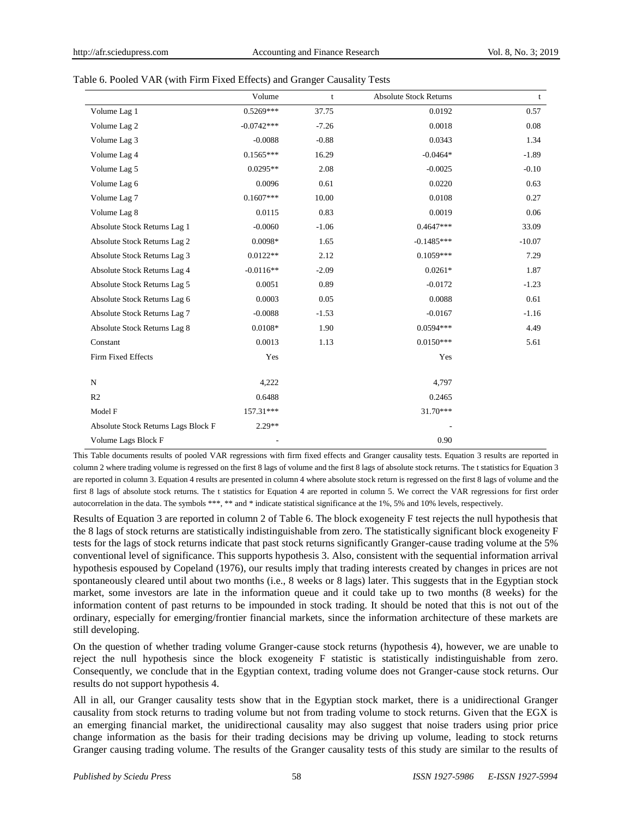|                                     | Volume       | t       | <b>Absolute Stock Returns</b> | t        |
|-------------------------------------|--------------|---------|-------------------------------|----------|
| Volume Lag 1                        | $0.5269***$  | 37.75   | 0.0192                        | 0.57     |
| Volume Lag 2                        | $-0.0742***$ | $-7.26$ | 0.0018                        | 0.08     |
| Volume Lag 3                        | $-0.0088$    | $-0.88$ | 0.0343                        | 1.34     |
| Volume Lag 4                        | $0.1565***$  | 16.29   | $-0.0464*$                    | $-1.89$  |
| Volume Lag 5                        | $0.0295**$   | 2.08    | $-0.0025$                     | $-0.10$  |
| Volume Lag 6                        | 0.0096       | 0.61    | 0.0220                        | 0.63     |
| Volume Lag 7                        | $0.1607***$  | 10.00   | 0.0108                        | 0.27     |
| Volume Lag 8                        | 0.0115       | 0.83    | 0.0019                        | 0.06     |
| Absolute Stock Returns Lag 1        | $-0.0060$    | $-1.06$ | $0.4647***$                   | 33.09    |
| Absolute Stock Returns Lag 2        | 0.0098*      | 1.65    | $-0.1485***$                  | $-10.07$ |
| Absolute Stock Returns Lag 3        | $0.0122**$   | 2.12    | $0.1059***$                   | 7.29     |
| Absolute Stock Returns Lag 4        | $-0.0116**$  | $-2.09$ | $0.0261*$                     | 1.87     |
| Absolute Stock Returns Lag 5        | 0.0051       | 0.89    | $-0.0172$                     | $-1.23$  |
| Absolute Stock Returns Lag 6        | 0.0003       | 0.05    | 0.0088                        | 0.61     |
| Absolute Stock Returns Lag 7        | $-0.0088$    | $-1.53$ | $-0.0167$                     | $-1.16$  |
| Absolute Stock Returns Lag 8        | $0.0108*$    | 1.90    | $0.0594***$                   | 4.49     |
| Constant                            | 0.0013       | 1.13    | $0.0150***$                   | 5.61     |
| Firm Fixed Effects                  | Yes          |         | Yes                           |          |
| ${\bf N}$                           | 4,222        |         | 4,797                         |          |
| R2                                  | 0.6488       |         | 0.2465                        |          |
| Model F                             | 157.31***    |         | 31.70***                      |          |
| Absolute Stock Returns Lags Block F | $2.29**$     |         |                               |          |
| Volume Lags Block F                 |              |         | 0.90                          |          |

This Table documents results of pooled VAR regressions with firm fixed effects and Granger causality tests. Equation 3 results are reported in column 2 where trading volume is regressed on the first 8 lags of volume and the first 8 lags of absolute stock returns. The t statistics for Equation 3 are reported in column 3. Equation 4 results are presented in column 4 where absolute stock return is regressed on the first 8 lags of volume and the first 8 lags of absolute stock returns. The t statistics for Equation 4 are reported in column 5. We correct the VAR regressions for first order autocorrelation in the data. The symbols \*\*\*, \*\* and \* indicate statistical significance at the 1%, 5% and 10% levels, respectively.

Results of Equation 3 are reported in column 2 of Table 6. The block exogeneity F test rejects the null hypothesis that the 8 lags of stock returns are statistically indistinguishable from zero. The statistically significant block exogeneity F tests for the lags of stock returns indicate that past stock returns significantly Granger-cause trading volume at the 5% conventional level of significance. This supports hypothesis 3. Also, consistent with the sequential information arrival hypothesis espoused by Copeland (1976), our results imply that trading interests created by changes in prices are not spontaneously cleared until about two months (i.e., 8 weeks or 8 lags) later. This suggests that in the Egyptian stock market, some investors are late in the information queue and it could take up to two months (8 weeks) for the information content of past returns to be impounded in stock trading. It should be noted that this is not out of the ordinary, especially for emerging/frontier financial markets, since the information architecture of these markets are still developing.

On the question of whether trading volume Granger-cause stock returns (hypothesis 4), however, we are unable to reject the null hypothesis since the block exogeneity F statistic is statistically indistinguishable from zero. Consequently, we conclude that in the Egyptian context, trading volume does not Granger-cause stock returns. Our results do not support hypothesis 4.

All in all, our Granger causality tests show that in the Egyptian stock market, there is a unidirectional Granger causality from stock returns to trading volume but not from trading volume to stock returns. Given that the EGX is an emerging financial market, the unidirectional causality may also suggest that noise traders using prior price change information as the basis for their trading decisions may be driving up volume, leading to stock returns Granger causing trading volume. The results of the Granger causality tests of this study are similar to the results of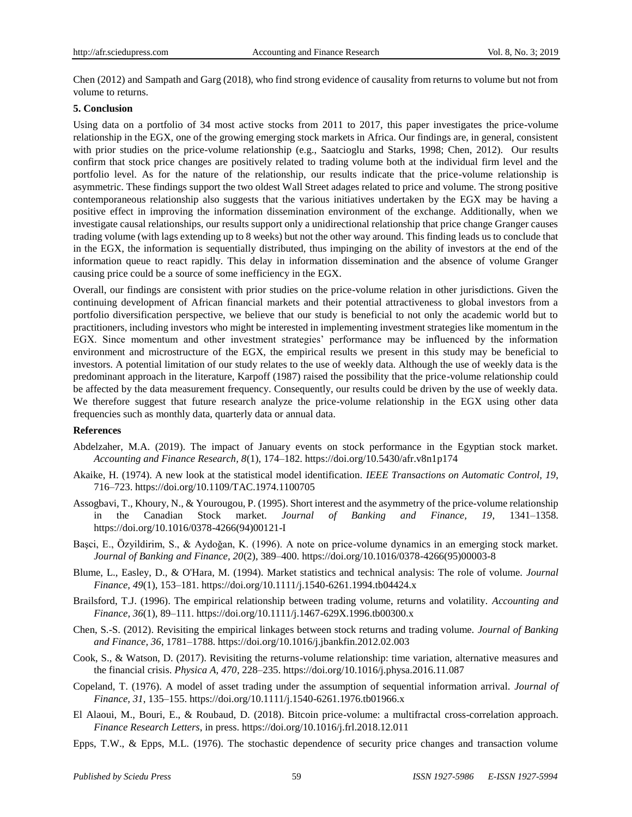Chen (2012) and Sampath and Garg (2018), who find strong evidence of causality from returns to volume but not from volume to returns.

#### **5. Conclusion**

Using data on a portfolio of 34 most active stocks from 2011 to 2017, this paper investigates the price-volume relationship in the EGX, one of the growing emerging stock markets in Africa. Our findings are, in general, consistent with prior studies on the price-volume relationship (e.g., Saatcioglu and Starks, 1998; Chen, 2012). Our results confirm that stock price changes are positively related to trading volume both at the individual firm level and the portfolio level. As for the nature of the relationship, our results indicate that the price-volume relationship is asymmetric. These findings support the two oldest Wall Street adages related to price and volume. The strong positive contemporaneous relationship also suggests that the various initiatives undertaken by the EGX may be having a positive effect in improving the information dissemination environment of the exchange. Additionally, when we investigate causal relationships, our results support only a unidirectional relationship that price change Granger causes trading volume (with lags extending up to 8 weeks) but not the other way around. This finding leads us to conclude that in the EGX, the information is sequentially distributed, thus impinging on the ability of investors at the end of the information queue to react rapidly. This delay in information dissemination and the absence of volume Granger causing price could be a source of some inefficiency in the EGX.

Overall, our findings are consistent with prior studies on the price-volume relation in other jurisdictions. Given the continuing development of African financial markets and their potential attractiveness to global investors from a portfolio diversification perspective, we believe that our study is beneficial to not only the academic world but to practitioners, including investors who might be interested in implementing investment strategies like momentum in the EGX. Since momentum and other investment strategies' performance may be influenced by the information environment and microstructure of the EGX, the empirical results we present in this study may be beneficial to investors. A potential limitation of our study relates to the use of weekly data. Although the use of weekly data is the predominant approach in the literature, Karpoff (1987) raised the possibility that the price-volume relationship could be affected by the data measurement frequency. Consequently, our results could be driven by the use of weekly data. We therefore suggest that future research analyze the price-volume relationship in the EGX using other data frequencies such as monthly data, quarterly data or annual data.

#### **References**

- Abdelzaher, M.A. (2019). The impact of January events on stock performance in the Egyptian stock market. *Accounting and Finance Research, 8*(1), 174–182. https://doi.org/10.5430/afr.v8n1p174
- Akaike, H. (1974). A new look at the statistical model identification. *IEEE Transactions on Automatic Control, 19*, 716–723. https://doi.org/10.1109/TAC.1974.1100705
- Assogbavi, T., Khoury, N., & Yourougou, P. (1995). Short interest and the asymmetry of the price-volume relationship in the Canadian Stock market. *Journal of Banking and Finance, 19*, 1341–1358. https://doi.org/10.1016/0378-4266(94)00121-I
- Basci, E., Özyildirim, S., & Aydoğan, K. (1996). A note on price-volume dynamics in an emerging stock market. *Journal of Banking and Finance, 20*(2), 389–400. https://doi.org/10.1016/0378-4266(95)00003-8
- Blume, L., Easley, D., & O'Hara, M. (1994). Market statistics and technical analysis: The role of volume. *Journal Finance, 49*(1), 153–181. https://doi.org/10.1111/j.1540-6261.1994.tb04424.x
- Brailsford, T.J. (1996). The empirical relationship between trading volume, returns and volatility. *Accounting and Finance, 36*(1), 89–111. https://doi.org/10.1111/j.1467-629X.1996.tb00300.x
- Chen, S.-S. (2012). Revisiting the empirical linkages between stock returns and trading volume. *Journal of Banking and Finance, 36*, 1781–1788. https://doi.org/10.1016/j.jbankfin.2012.02.003
- Cook, S., & Watson, D. (2017). Revisiting the returns-volume relationship: time variation, alternative measures and the financial crisis. *Physica A, 470*, 228–235. https://doi.org/10.1016/j.physa.2016.11.087
- Copeland, T. (1976). A model of asset trading under the assumption of sequential information arrival. *Journal of Finance, 31*, 135–155. https://doi.org/10.1111/j.1540-6261.1976.tb01966.x
- El Alaoui, M., Bouri, E., & Roubaud, D. (2018). Bitcoin price-volume: a multifractal cross-correlation approach. *Finance Research Letters*, in press. https://doi.org/10.1016/j.frl.2018.12.011
- Epps, T.W., & Epps, M.L. (1976). The stochastic dependence of security price changes and transaction volume